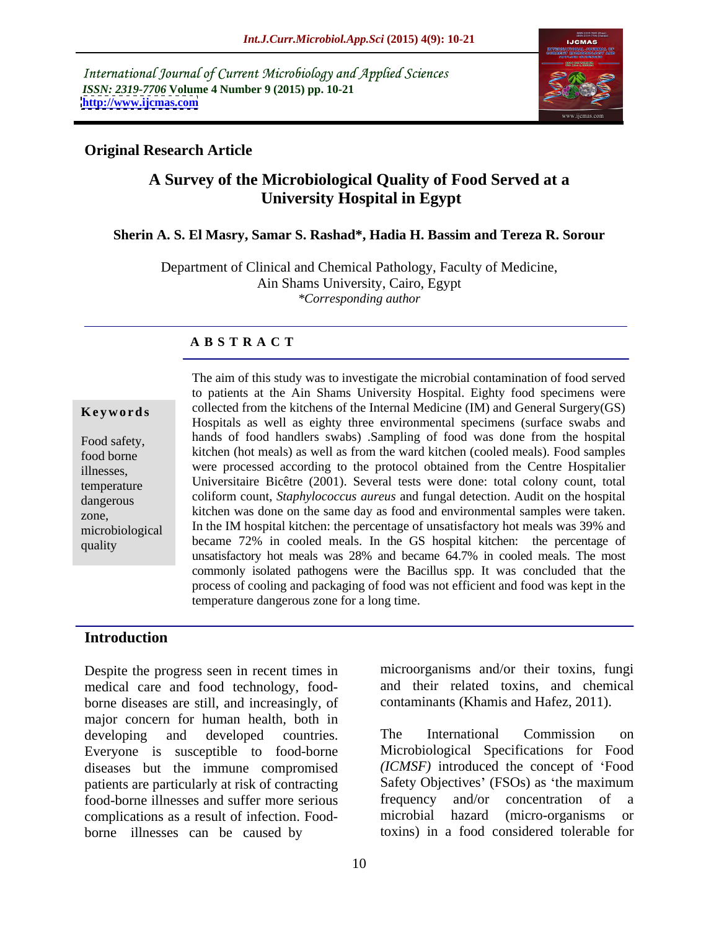International Journal of Current Microbiology and Applied Sciences *ISSN: 2319-7706* **Volume 4 Number 9 (2015) pp. 10-21 <http://www.ijcmas.com>**



## **Original Research Article**

# **A Survey of the Microbiological Quality of Food Served at a University Hospital in Egypt**

### **Sherin A. S. El Masry, Samar S. Rashad\*, Hadia H. Bassim and Tereza R. Sorour**

Department of Clinical and Chemical Pathology, Faculty of Medicine, Ain Shams University, Cairo, Egypt *\*Corresponding author*

### **A B S T R A C T**

The aim of this study was to investigate the microbial contamination of food served to patients at the Ain Shams University Hospital. Eighty food specimens were **Keywords** collected from the kitchens of the Internal Medicine (IM) and General Surgery(GS) Hospitals as well as eighty three environmental specimens (surface swabs and Food safety, hands of food handlers swabs) Sampling of food was done from the hospital food borne kitchen (hot meals) as well as from the ward kitchen (cooled meals). Food samples were processed according to the protocol obtained from the Centre Hospitalier illnesses, were processed according to the protocol obtained from the Centre Hospitalier<br>temperature Universitaire Bicêtre (2001). Several tests were done: total colony count, total coliform count, *Staphylococcus aureus* and fungal detection. Audit on the hospital dangerous zone, kitchen was done on the same day as food and environmental samples were taken. microbiological In the IM hospital kitchen: the percentage of unsatisfactory hot meals was 39% and quality became 72% in cooled meals. In the GS hospital kitchen: the percentage of unsatisfactory hot meals was 28% and became 64.7% in cooled meals. The most commonly isolated pathogens were the Bacillus spp. It was concluded that the process of cooling and packaging of food was not efficient and food was kept in the temperature dangerous zone for a long time.

### **Introduction**

Despite the progress seen in recent times in medical care and food technology, food borne diseases are still, and increasingly, of major concern for human health, both in Everyone is susceptible to food-borne diseases but the immune compromised patients are particularly at risk of contracting Safety Objectives' (FSOs) as 'the maxim<br>food-borne illnesses and suffer more serious frequency and/or concentration of food-borne illnesses and suffer more serious frequency and/or concentration of a complications as a result of infection. Food-<br>microbial hazard (micro-organisms or complications as a result of infection. Food-<br>microbial hazard (micro-organisms or borne illnesses can be caused by

microorganisms and/or their toxins, fungi and their related toxins, and chemical contaminants (Khamis and Hafez, 2011).

developing and developed countries. The International Commission on The International Commission on Microbiological Specifications for Food *(ICMSF)* introduced the concept of Food Safety Objectives' (FSOs) as 'the maximum frequency and/or concentration of a microbial hazard (micro-organisms or toxins) in a food considered tolerable for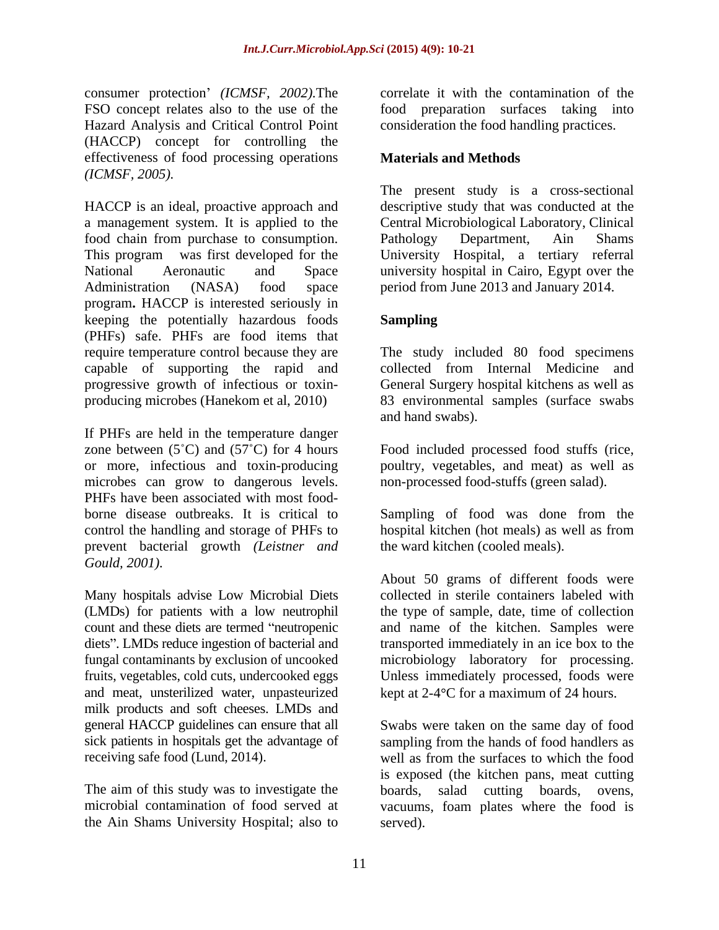consumer protection' *(ICMSF, 2002)*. The FSO concept relates also to the use of the food preparation surfaces taking into Hazard Analysis and Critical Control Point (HACCP) concept for controlling the effectiveness of food processing operations **Materials and Methods** *(ICMSF, 2005).*

HACCP is an ideal, proactive approach and descriptive study that was conducted at the a management system. It is applied to the Central Microbiological Laboratory, Clinical food chain from purchase to consumption. Pathology Department, Ain Shams This program was first developed for the University Hospital, a tertiary referral National Aeronautic and Space university hospital in Cairo, Egypt over the Administration (NASA) food space period from June 2013 and January 2014. program**.** HACCP is interested seriously in keeping the potentially hazardous foods (PHFs) safe. PHFs are food items that require temperature control because they are The study included 80 food specimens capable of supporting the rapid and progressive growth of infectious or toxin producing microbes (Hanekom et al, 2010) 83 environmental samples (surface swabs

If PHFs are held in the temperature danger zone between  $(5^{\circ}C)$  and  $(57^{\circ}C)$  for 4 hours Food included processed food stuffs (rice, or more, infectious and toxin-producing poultry, vegetables, and meat) as well as microbes can grow to dangerous levels. PHFs have been associated with most food borne disease outbreaks. It is critical to Sampling of food was done from the control the handling and storage of PHFs to hospital kitchen (hot meals) as well as from prevent bacterial growth *(Leistner and Gould, 2001).*

Many hospitals advise Low Microbial Diets (LMDs) for patients with a low neutrophil and meat, unsterilized water, unpasteurized kept at 2-4 °C for a maximum of 24 hours. milk products and soft cheeses. LMDs and<br>general HACCP guidelines can ensure that all

the Ain Shams University Hospital; also to

correlate it with the contamination of the consideration the food handling practices.

# **Materials and Methods**

The present study is a cross-sectional Pathology Department, Ain Shams

## **Sampling**

collected from Internal Medicine and General Surgery hospital kitchens as well as and hand swabs).

non-processed food-stuffs (green salad).

hospital kitchen (hot meals) as well as from the ward kitchen (cooled meals).

count and these diets are termed "neutropenic and name of the kitchen. Samples were diets". LMDs reduce ingestion of bacterial and transported immediately in an ice box to the fungal contaminants by exclusion of uncooked microbiology laboratory for processing. fruits, vegetables, cold cuts, undercooked eggs Unless immediately processed, foods were About 50 grams of different foods were collected in sterile containers labeled with the type of sample, date, time of collection

general HACCP guidelines can ensure that all Swabs were taken on the same day of food sick patients in hospitals get the advantage of sampling from the hands of food handlers as receiving safe food (Lund, 2014). well as from the surfaces to which the food The aim of this study was to investigate the boards, salad cutting boards, ovens, microbial contamination of food served at vacuums, foam plates where the food is is exposed (the kitchen pans, meat cutting served).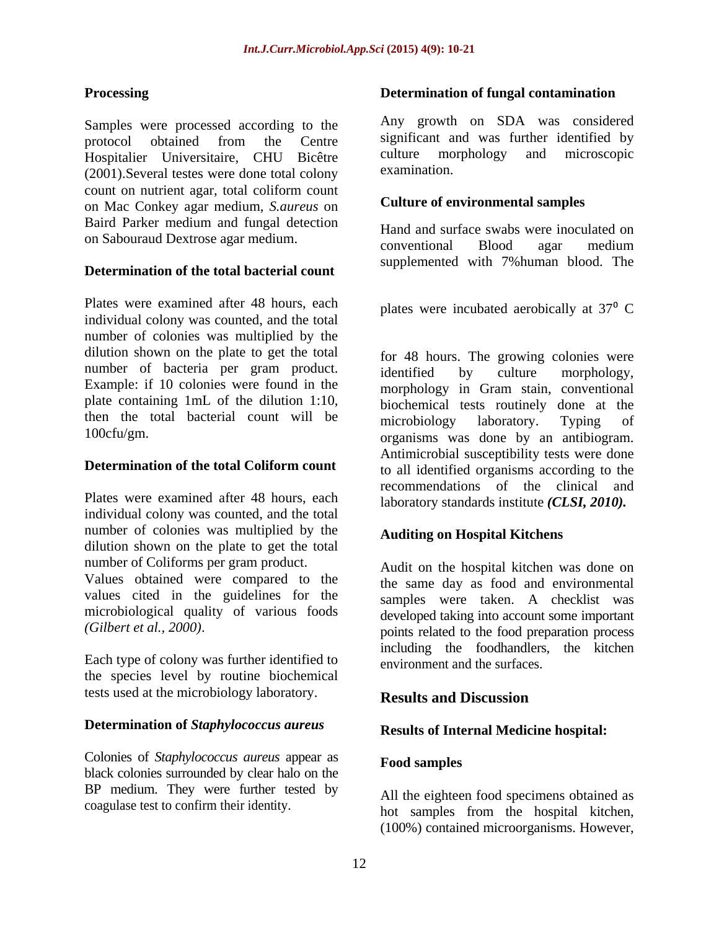Samples were processed according to the protocol obtained from the Centre significant and was further identified by Hospitalier Universitaire, CHU Bicêtre culture morphology and microscopic (2001) Several testes were done total colony examination. (2001).Several testes were done total colony count on nutrient agar, total coliform count on Mac Conkey agar medium, *S.aureus* on Baird Parker medium and fungal detection

## **Determination of the total bacterial count**

Plates were examined after 48 hours, each individual colony was counted, and the total number of colonies was multiplied by the dilution shown on the plate to get the total number of bacteria per gram product. identified by culture morphology, Example: if 10 colonies were found in the plate containing 1mL of the dilution 1:10, then the total bacterial count will be microbiology laboratory. Typing of

Plates were examined after 48 hours, each individual colony was counted, and the total number of colonies was multiplied by the dilution shown on the plate to get the total number of Coliforms per gram product.

values cited in the guidelines for the microbiological quality of various foods

Each type of colony was further identified to the species level by routine biochemical tests used at the microbiology laboratory. **Results and Discussion** 

### **Determination of** *Staphylococcus aureus*

Colonies of *Staphylococcus aureus* appear as black colonies surrounded by clear halo on the BP medium. They were further tested by

### **Processing Determination of fungal contamination**

Any growth on SDA was considered significant and was further identified by culture morphology and microscopic examination.

## **Culture of environmental samples**

on Sabouraud Dextrose agar medium.<br>
conventional Blood agar medium Hand and surface swabs were inoculated on conventional Blood agar medium supplemented with 7%human blood. The

plates were incubated aerobically at  $37<sup>0</sup>$  C

100cfu/gm. organisms was done by an antibiogram. **Determination of the total Coliform count** to all identified organisms according to the for 48 hours. The growing colonies were identified by culture morphology, morphology in Gram stain, conventional biochemical tests routinely done at the microbiology laboratory. Typing of Antimicrobial susceptibility tests were done recommendations of the clinical and laboratory standards institute *(CLSI, 2010).*

## **Auditing on Hospital Kitchens**

Values obtained were compared to the the same day as food and environmental *(Gilbert et al., 2000)*. points related to the food preparation process Audit on the hospital kitchen was done on samples were taken. A checklist was developed taking into account some important including the foodhandlers, the kitchen environment and the surfaces.

# **Results and Discussion**

## **Results of Internal Medicine hospital:**

### **Food samples**

coagulase test to confirm their identity. hot samples from the hospital kitchen, All the eighteen food specimens obtained as (100%) contained microorganisms. However,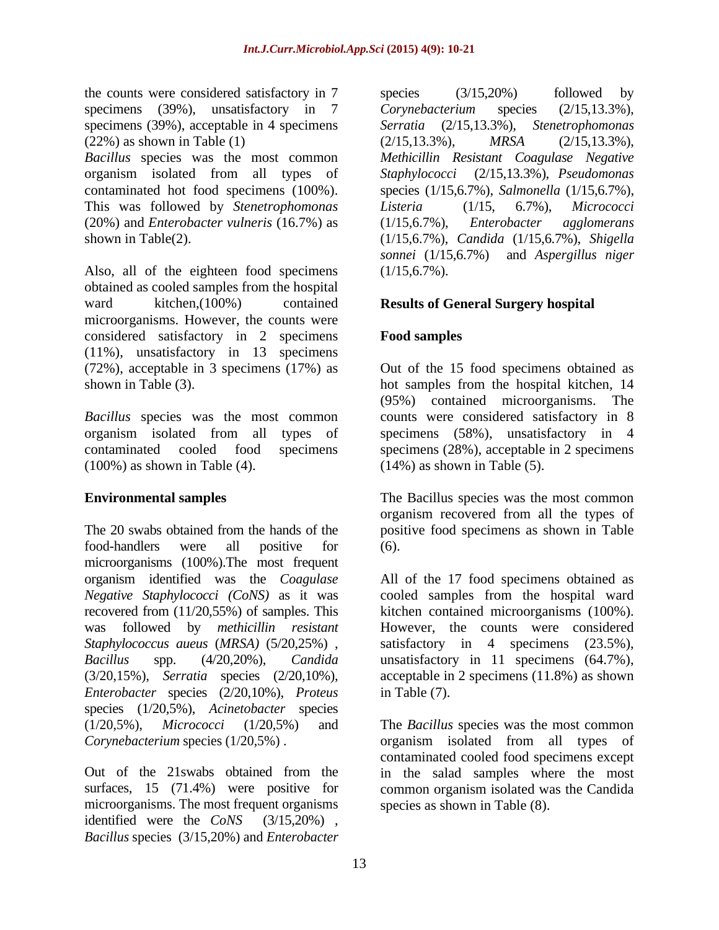the counts were considered satisfactory in 7 species (3/15,20%) followed by specimens (39%), unsatisfactory in 7 Corynebacterium species (2/15,13.3%), specimens (39%), acceptable in 4 specimens Serratia (2/15,13.3%), Stenetrophomonas  $(22\%)$  as shown in Table (1)  $(2/15, 13.3\%)$ ,  $MRSA$   $(2/15, 13.3\%)$ ,

organism isolated from all types of This was followed by *Stenetrophomonas* (20%) and *Enterobacter vulneris* (16.7%) as

Also, all of the eighteen food specimens (1/15,6.7%). obtained as cooled samples from the hospital ward kitchen,(100%) contained **Results of General Surgery hospital** microorganisms. However, the counts were considered satisfactory in 2 specimens (11%), unsatisfactory in 13 specimens (72%), acceptable in 3 specimens (17%) as Out of the 15 food specimens obtained as shown in Table (3). hot samples from the hospital kitchen, 14

(100%) as shown in Table (4).

The 20 swabs obtained from the hands of the positive food specimens as shown in Table food-handlers were all positive for (6). microorganisms (100%).The most frequent organism identified was the *Coagulase Negative Staphylococci (CoNS)* as it was cooled samples from the hospital ward recovered from (11/20,55%) of samples. This was followed by *methicillin resistant* However, the counts were considered *Staphylococcus aueus* (*MRSA)* (5/20,25%) , *Bacillus* spp. (4/20,20%), *Candida* (3/20,15%), *Serratia* species (2/20,10%), acceptable in 2 specimens (11.8%) as shown *Enterobacter* species (2/20,10%), *Proteus* species (1/20,5%), *Acinetobacter* species (1/20,5%), *Micrococci* (1/20,5%) and The *Bacillus* species was the most common *Corynebacterium* species (1/20,5%). The organism isolated from all types of

surfaces, 15 (71.4%) were positive for microorganisms. The most frequent organisms identified were the *CoNS* (3/15,20%) , *Bacillus* species (3/15,20%) and *Enterobacter*

*Bacillus* species was the most common *Methicillin Resistant Coagulase Negative* contaminated hot food specimens (100%). species (1/15,6.7%), *Salmonella* (1/15,6.7%), shown in Table(2). (1/15,6.7%), *Candida* (1/15,6.7%), *Shigella* species (3/15,20%) followed by *Corynebacterium* species (2/15,13.3%), *Serratia* (2/15,13.3%), *Stenetrophomonas* (2/15,13.3%), *MRSA* (2/15,13.3%), *Staphylococci* (2/15,13.3%), *Pseudomonas Listeria* (1/15, 6.7%), *Micrococci* (1/15,6.7%), *Enterobacter agglomerans sonnei* (1/15,6.7%) and *Aspergillus niger*  $(1/15, 6.7\%)$ .

# **Food samples**

*Bacillus* species was the most common counts were considered satisfactory in 8 organism isolated from all types of specimens (58%), unsatisfactory in 4 contaminated cooled food specimens specimens (28%), acceptable in 2 specimens (95%) contained microorganisms. The  $(14\%)$  as shown in Table  $(5)$ .

**Environmental samples** The Bacillus species was the most common organism recovered from all the types of (6).

> All of the 17 food specimens obtained as kitchen contained microorganisms (100%). satisfactory in 4 specimens (23.5%),<br>unsatisfactory in 11 specimens (64.7%), in Table (7).

Out of the 21swabs obtained from the in the salad samples where the most contaminated cooled food specimens except common organism isolated was the Candida species as shown in Table (8).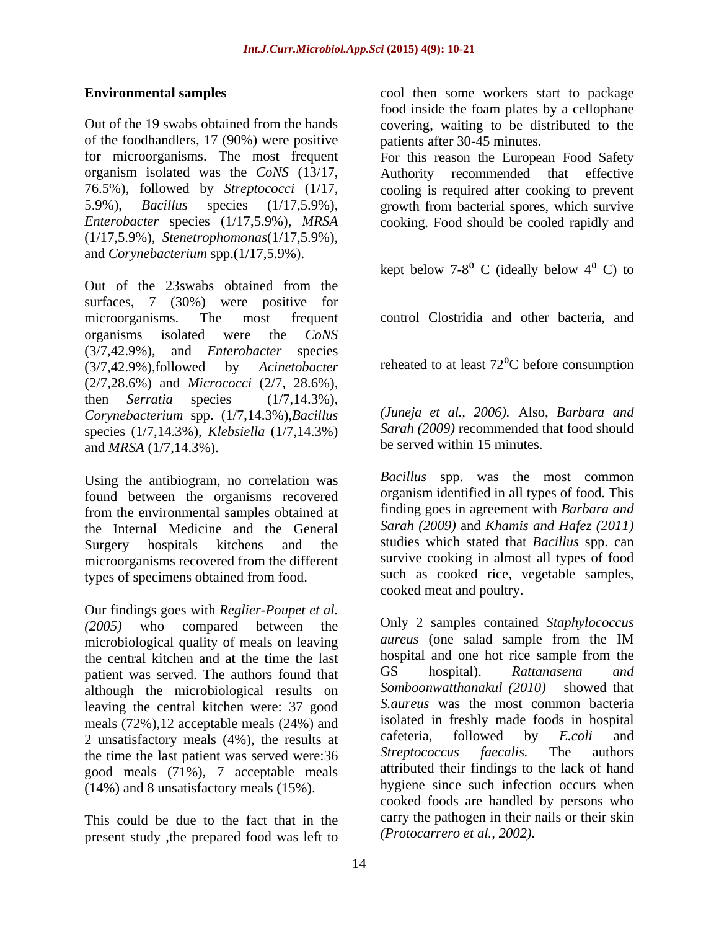of the foodhandlers, 17 (90%) were positive organism isolated was the *CoNS* (13/17, 76.5%), followed by *Streptococci* (1/17, (1/17,5.9%), *Stenetrophomonas*(1/17,5.9%), and *Corynebacterium* spp.(1/17,5.9%).

Out of the 23swabs obtained from the surfaces, 7 (30%) were positive for microorganisms. The most frequent control Clostridia and other bacteria, and organisms isolated were the *CoNS* (3/7,42.9%), and *Enterobacter* species  $(3/7,42.9\%)$ ,followed by *Acinetobacter* reheated to at least  $72^{\circ}$ C before consumption (2/7,28.6%) and *Micrococci* (2/7, 28.6%), then *Serratia* species (1/7,14.3%), *Corynebacterium* spp. (1/7,14.3%),*Bacillus* species (1/7,14.3%), *Klebsiella* (1/7,14.3%) and *MRSA* (1/7,14.3%).

Using the antibiogram, no correlation was found between the organisms recovered from the environmental samples obtained at the Internal Medicine and the General microorganisms recovered from the different types of specimens obtained from food.

Our findings goes with *Reglier-Poupet et al.* microbiological quality of meals on leaving *aureus* (one salad sample from the IM the central kitchen and at the time the last<br>national and one hot rice sample from the<br>nation was served. The authors found that GS bospital). Rattanasena and patient was served. The authors found that although the microbiological results on leaving the central kitchen were: 37 good meals  $(72\%)$ , 12 acceptable meals  $(24\%)$  and<br>2 unsatisfactory meals  $(4\%)$  the results at cafeteria, followed by *E.coli* and 2 unsatisfactory meals (4%), the results at cafeteria, followed by *E.coli* and the time the last patient was served were:36 Streptococcus faecalis. The authors the time the last patient was served were:36 good meals (71%), 7 acceptable meals (14%) and 8 unsatisfactory meals (15%).

This could be due to the fact that in the present study ,the prepared food was left to

**Environmental samples** cool then some workers start to package Out of the 19 swabs obtained from the hands covering, waiting to be distributed to the food inside the foam plates by a cellophane patients after 30-45 minutes.

for microorganisms. The most frequent For this reason the European Food Safety 5.9%), *Bacillus* species (1/17,5.9%), growth from bacterial spores, which survive *Enterobacter* species (1/17,5.9%), *MRSA* cooking. Food should be cooled rapidly and recommended that effective cooling is required after cooking to prevent

kept below  $7-8^{\circ}$  C (ideally below  $4^{\circ}$  C) to

*(Juneja et al., 2006).* Also, *Barbara and Sarah (2009)* recommended that food should be served within 15 minutes.

Surgery hospitals kitchens and the studies which stated that *Bacillus* spp. can *Bacillus* spp. was the most common organism identified in all types of food. This finding goes in agreement with *Barbara and Sarah (2009)* and *Khamis and Hafez (2011)* survive cooking in almost all types of food such as cooked rice, vegetable samples, cooked meat and poultry.

*(2005)* who compared between the Only 2 samples contained *Staphylococcus aureus* (one salad sample from the IM hospital and one hot rice sample from the GS hospital). *Rattanasena and Somboonwatthanakul (2010)* showed that *S.aureus* was the most common bacteria isolated in freshly made foods in hospital cafeteria, followed by *E.coli* and *Streptococcus faecalis.* The authors attributed their findings to the lack of hand hygiene since such infection occurs when cooked foods are handled by persons who carry the pathogen in their nails or their skin *(Protocarrero et al., 2002).*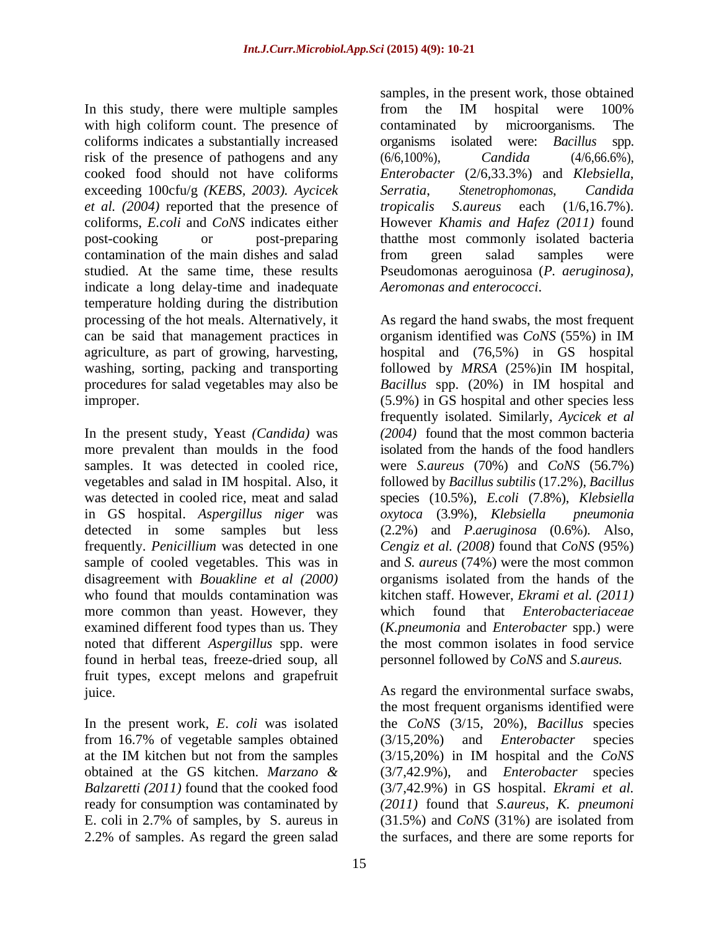In this study, there were multiple samples from the IM hospital were 100% with high coliform count. The presence of contaminated by microorganisms. The coliforms indicates a substantially increased organisms isolated were: Bacillus spp. risk of the presence of pathogens and any  $(6/6, 100\%)$ ,  $Candida$   $(4/6, 66.6\%)$ , cooked food should not have coliforms *Enterobacter* (2/6,33.3%) and *Klebsiella*, exceeding 100cfu/g *(KEBS, 2003). Aycicek et al. (2004)* reported that the presence of coliforms, *E.coli* and *CoNS* indicates either However *Khamis and Hafez (2011)* found post-cooking or post-preparing thatthe most commonly isolated bacteria contamination of the main dishes and salad from green salad samples were studied. At the same time, these results Pseudomonas aeroguinosa (*P. aeruginosa),* indicate a long delay-time and inadequate temperature holding during the distribution processing of the hot meals. Alternatively, it can be said that management practices in organism identified was CoNS (55%) in IM washing, sorting, packing and transporting followed by MRSA (25%) in IM hospital,

more prevalent than moulds in the food isolated from the hands of the food handlers in GS hospital. *Aspergillus niger* was more common than yeast. However, they which found that *Enterobacteriaceae* examined different food types than us. They noted that different *Aspergillus* spp. were found in herbal teas, freeze-dried soup, all fruit types, except melons and grapefruit

from 16.7% of vegetable samples obtained (3/15,20%) and *Enterobacter* species

samples, in the present work, those obtained from the IM hospital were 100% contaminated by microorganisms. The organisms isolated were: *Bacillus* spp. (6/6,100%), *Candida* (4/6,66.6%), *Serratia*, *Stenetrophomonas*, *Candida tropicalis S.aureus* each (1/6,16.7%). from green salad samples were *Aeromonas and enterococci*.

agriculture, as part of growing, harvesting, hospital and (76,5%) in GS hospital procedures for salad vegetables may also be *Bacillus* spp. (20%) in IM hospital and improper. (5.9%) in GS hospital and other species less In the present study, Yeast *(Candida)* was *(2004)* found that the most common bacteria samples. It was detected in cooled rice, were *S.aureus* (70%) and *CoNS* (56.7%) vegetables and salad in IM hospital. Also, it followed by *Bacillus subtilis* (17.2%), *Bacillus* was detected in cooled rice, meat and salad species (10.5%), *E.coli* (7.8%), *Klebsiella* detected in some samples but less (2.2%) and *P*.*aeruginosa* (0.6%). Also, frequently. *Penicillium* was detected in one *Cengiz et al. (2008)* found that *CoNS* (95%) sample of cooled vegetables. This was in and *S. aureus* (74%) were the most common disagreement with *Bouakline et al (2000)* organisms isolated from the hands of the who found that moulds contamination was kitchen staff. However, *Ekrami et al. (2011)* As regard the hand swabs, the most frequent organism identified was *CoNS* (55%) in IM followed by *MRSA* (25%)in IM hospital, frequently isolated. Similarly, *Aycicek et al* isolated from the hands of the food handlers *oxytoca* (3.9%), *Klebsiella pneumonia* which found that *Enterobacteriaceae* (*K.pneumonia* and *Enterobacter* spp.) were the most common isolates in food service personnel followed by *CoNS* and *S.aureus.*

juice. As regard the environmental surface swabs, In the present work, *E*. *coli* was isolated the *CoNS* (3/15, 20%), *Bacillus* species at the IM kitchen but not from the samples (3/15,20%) in IM hospital and the *CoNS* obtained at the GS kitchen. *Marzano &* (3/7,42.9%), and *Enterobacter* species *Balzaretti (2011)* found that the cooked food (3/7,42.9%) in GS hospital. *Ekrami et al.* ready for consumption was contaminated by *(2011)* found that *S.aureus*, *K. pneumoni* E. coli in 2.7% of samples, by S. aureus in (31.5%) and *CoNS* (31%) are isolated from 2.2% of samples. As regard the green salad the surfaces, and there are some reports forthe most frequent organisms identified were (3/15,20%) and *Enterobacter* species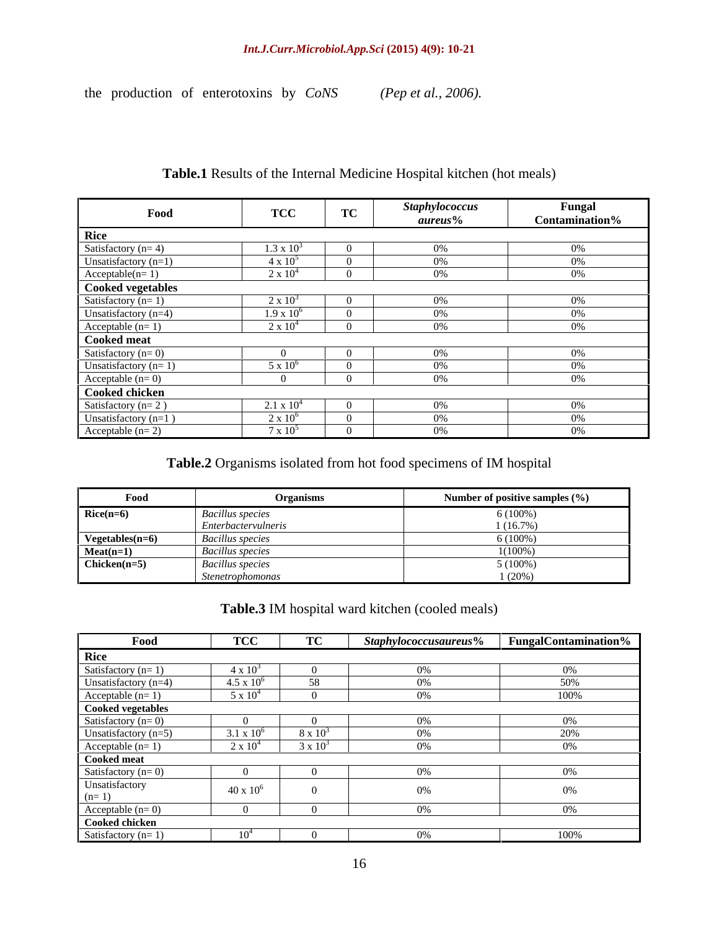### *Int.J.Curr.Microbiol.App.Sci* **(2015) 4(9): 10-21**

the production of enterotoxins by *CoNS (Pep et al., 2006).*

Food **TCC TC Staphylococcus Fungal Fungal** *aureus***% Fungal Contamination% Rice** Satisfactory (n= 4)  $1.3 \times 10^3$  0 0% 0% 0%  $0\%$  0% 0% 0% Unsatisfactory (n=1)  $4 \times 10^5$  0 0 0% 0% 0%  $0\%$  0% 0% Acceptable(n= 1)  $2 \times 10^4$  0 0% 0% 0%  $0\%$  0% 0% **Cooked vegetables** Satisfactory (n= 1)  $2 \times 10^3$  0 0% 0% 0%  $0\%$  0% 0% Unsatisfactory (n=4)  $1.9 \times 10^6$  0 0% 0% 0%  $0\%$  0% 0% Acceptable  $(n=1)$  2 x  $10^4$  0 0% 0% 0%  $0\%$  0% 0% **Cooked meat** Satisfactory (n= 0) 0 0 0% 0% Unsatisfactory  $(n=1)$  5 x  $10^6$  0 0% 0% 0%  $0\%$  0% 0% Acceptable (n= 0)  $\begin{vmatrix} 0 & 0 \\ 0 & 0 \end{vmatrix}$  0 0% 0% **Cooked chicken** Satisfactory (n= 2)  $2.1 \times 10^4$  0 0% 0% 0%  $0\%$  0% 0% Unsatisfactory  $(n=1)$   $2 \times 10^6$  0 0% 0% 0%  $0\%$  0% 0% Acceptable (n= 2)  $7 \times 10^5$  0 0% 0% 0%  $0\%$  0% 0%

### **Table.1** Results of the Internal Medicine Hospital kitchen (hot meals)

### **Table.2** Organisms isolated from hot food specimens of IM hospital

| $\sim$<br>Food  | <b>Organisms</b>        | Number of positive samples $(\% )$ |
|-----------------|-------------------------|------------------------------------|
| $Rice(n=6)$     | <b>Bacillus species</b> | $5(100\%)$                         |
|                 | Enterbactervulneris     | 1(16.7%)                           |
| Vegetables(n=6) | <b>Bacillus</b> species | 100%) ر                            |
| $Mean(n=1)$     | <b>Bacillus</b> species | 1(100%                             |
| $Chicken(n=5)$  | <b>Bacillus</b> species | $(100\%)$                          |
|                 | Stenetrophomonas        | (20%                               |

### **Table.3** IM hospital ward kitchen (cooled meals)

| Food                                                     | TCG                          | <b>TC</b> | Staphylococcusaureus% FungalContamination% |        |
|----------------------------------------------------------|------------------------------|-----------|--------------------------------------------|--------|
| Jiro                                                     |                              |           |                                            |        |
| atisfactory $(n=1)$                                      |                              |           |                                            |        |
| Jnsatisfactory (n=4)                                     | $-6$<br>$4.5 \times 10^{-4}$ |           |                                            | 50%    |
| Acceptable $(n=1)$                                       | $-5 \times 10^{-7}$          |           |                                            | 100%   |
| <b>Cooked vegetables</b>                                 |                              |           |                                            |        |
| Satisfactory $(n=0)$                                     |                              |           |                                            |        |
| Jnsatisfactory (n=5)                                     | $1 \times 10^6$              |           |                                            | 21 IOZ |
| Acceptable $(n=1)$                                       |                              |           |                                            |        |
| Cooked meat                                              |                              |           |                                            |        |
| $\frac{3 \text{atisfactory} (n=0)}{n}$                   |                              |           |                                            | $10\%$ |
| Jnsatisfactory<br>$= 1$                                  | $40 \times 10^6$             |           | $0\%$                                      | 0%     |
|                                                          |                              |           |                                            | 10%    |
| $\frac{\text{Acceptable (n= 0)}}{\text{Cooked chicken}}$ |                              |           |                                            |        |
| Satisfactory $(n=1)$                                     |                              |           | $U\%$                                      | 100%   |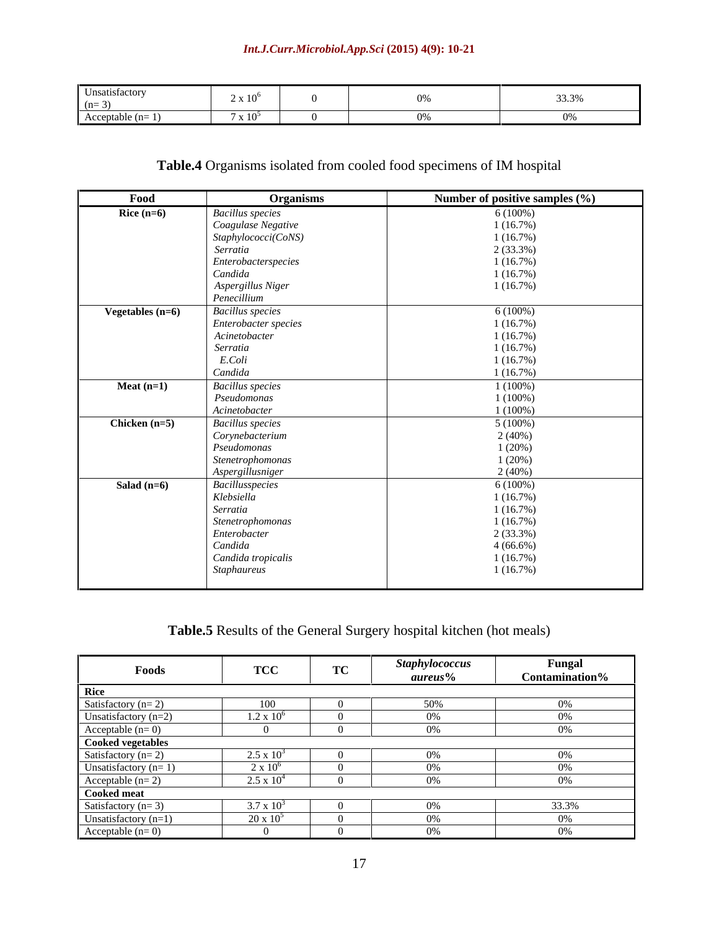## *Int.J.Curr.Microbiol.App.Sci* **(2015) 4(9): 10-21**

# **Table.4** Organisms isolated from cooled food specimens of IM hospital

| Food               | <b>Organisms</b>        | Number of positive samples (%) |
|--------------------|-------------------------|--------------------------------|
| Rice $(n=6)$       | <b>Bacillus</b> species | $6(100\%)$                     |
|                    | Coagulase Negative      | 1(16.7%)                       |
|                    | Staphylococci(CoNS)     | 1(16.7%)                       |
|                    | Serratia                | 2(33.3%)                       |
|                    | Enterobacterspecies     | 1(16.7%)                       |
|                    | Candida                 | 1(16.7%)                       |
|                    | Aspergillus Niger       | 1(16.7%)                       |
|                    | Penecillium             |                                |
| Vegetables $(n=6)$ | <b>Bacillus</b> species | $6(100\%)$                     |
|                    | Enterobacter species    | 1(16.7%)                       |
|                    | Acinetobacter           | 1(16.7%)                       |
|                    | Serratia                | 1(16.7%)                       |
|                    | E.Coli                  | 1(16.7%)                       |
|                    | Candida                 | 1(16.7%)                       |
| Meat $(n=1)$       | <b>Bacillus</b> species | $1(100\%)$                     |
|                    | Pseudomonas             | $1(100\%)$                     |
|                    | Acinetobacter           | $1(100\%)$                     |
| Chicken $(n=5)$    | <b>Bacillus</b> species | $5(100\%)$                     |
|                    | Corynebacterium         | 2(40%)                         |
|                    | Pseudomonas             | 1(20%)                         |
|                    | Stenetrophomonas        | 1(20%)                         |
|                    | Aspergillusniger        | $2(40\%)$                      |
| Salad $(n=6)$      | Bacillusspecies         | $6(100\%)$                     |
|                    | Klebsiella              | 1(16.7%)                       |
|                    | Serratia                | 1(16.7%)                       |
|                    | Stenetrophomonas        | 1(16.7%)                       |
|                    | Enterobacter            | $2(33.3\%)$                    |
|                    | Candida                 | $4(66.6\%)$                    |
|                    | Candida tropicalis      | 1(16.7%)                       |
|                    | Staphaureus             | 1(16.7%)                       |
|                    |                         |                                |

# **Table.5** Results of the General Surgery hospital kitchen (hot meals)

|                                                                          | TCC                                                                                     |        | <b>Staphylococcus</b> | Fungal                    |
|--------------------------------------------------------------------------|-----------------------------------------------------------------------------------------|--------|-----------------------|---------------------------|
| Foods                                                                    | $\bf{1}$                                                                                | $\sim$ | aureus%               | <b>Contamination</b> %    |
|                                                                          |                                                                                         |        |                       |                           |
| Satisfactory $(n=2)$                                                     |                                                                                         |        | 510%                  | $11\frac{U}{2}$           |
| $\text{r}_{\text{Insatisfactory}}$ (n= $\angle$ )                        | $1.2 \times 10^{6}$                                                                     |        | 10%                   | $10\%$                    |
| Acceptable $(n=0)$                                                       |                                                                                         |        | 110%                  | $10\%$                    |
|                                                                          |                                                                                         |        |                       |                           |
| <b>Cooked vegetables</b><br>Satisfactory (n= 2)<br>Unsatisfactory (n= 1) | $2.5 \times 10^3$                                                                       |        | $1V_0$                | 1 <sup>0</sup>            |
|                                                                          | $2 \times 10^6$                                                                         |        | $110\%$               | $\sim$ $\sim$             |
| Acceptable $(n=2)$                                                       | $2.5 \times 10^{-7}$                                                                    |        | 110%                  | $10\%$                    |
|                                                                          |                                                                                         |        |                       |                           |
| $\frac{\text{Cooked meat}}{\text{Satisfactory (n= 3)}}$                  | $\overline{\phantom{a}}$ , and the set of $\overline{\phantom{a}}$<br>$3.7 \times 10^3$ |        | $\mathbf{U}$          |                           |
| Unsatisfactory (n=1)                                                     | $20 \times 10^5$                                                                        |        | $\mathbf{U}$          | $\mathbf{U}^{\mathbf{U}}$ |
| Acceptable $(n=0)$                                                       |                                                                                         |        | $\sim$ $\sim$         | $\mathbf{U}^{\mathbf{U}}$ |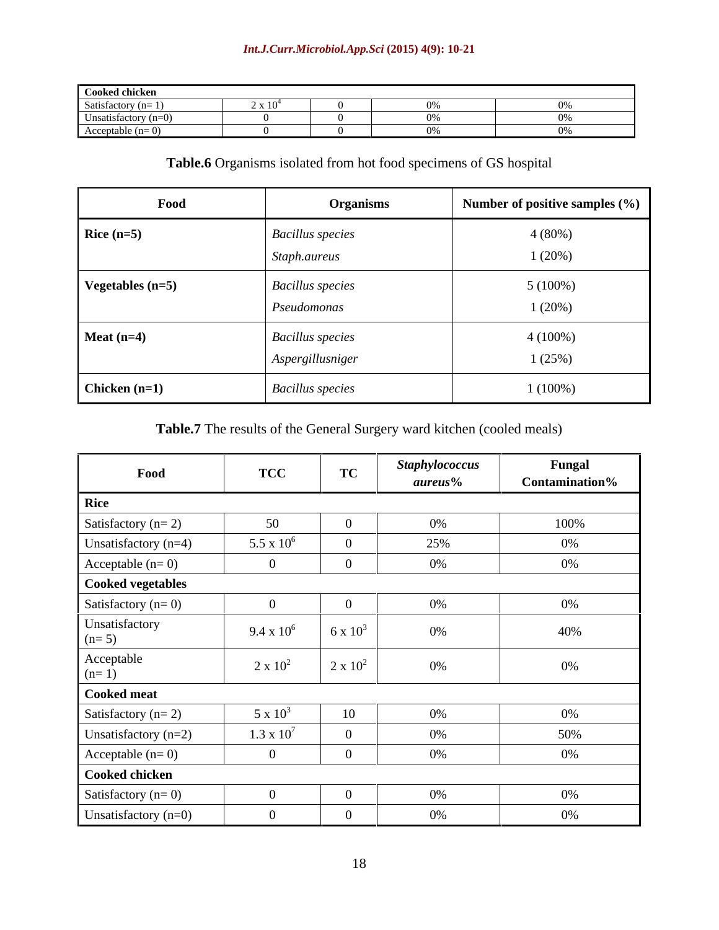# *Int.J.Curr.Microbiol.App.Sci* **(2015) 4(9): 10-21**

| Cooked chickeı         |             |  |          |
|------------------------|-------------|--|----------|
| Satisfactory           | $\sim$ A 10 |  |          |
| Unsatisfactory $(n=0)$ |             |  |          |
| Acceptable             |             |  | $\cdots$ |

# **Table.6** Organisms isolated from hot food specimens of GS hospital

| Food               | <b>Organisms</b>                            | Number of positive samples (%) |
|--------------------|---------------------------------------------|--------------------------------|
| Rice $(n=5)$       | <b>Bacillus</b> species<br>Staph.aureus     | 4(80%)<br>1(20%)               |
| Vegetables $(n=5)$ | <b>Bacillus</b> species<br>Pseudomonas      | $5(100\%)$<br>1(20%)           |
| Meat $(n=4)$       | <b>Bacillus</b> species<br>Aspergillusniger | $4(100\%)$<br>1(25%)           |
| Chicken $(n=1)$    | <b>Bacillus</b> species                     | $1(100\%)$                     |

# **Table.7** The results of the General Surgery ward kitchen (cooled meals)

| Food                      | <b>TCC</b>        | <b>TC</b>       | <b>Staphylococcus</b><br>aureus% | Fungal<br>Contamination% |
|---------------------------|-------------------|-----------------|----------------------------------|--------------------------|
| <b>Rice</b>               |                   |                 |                                  |                          |
| Satisfactory ( $n=2$ )    |                   |                 | $0\%$                            | 100%                     |
| Unsatisfactory (n=4)      | 5.5 x $10^6$      |                 | 25%                              | 0%                       |
| Acceptable $(n=0)$        |                   |                 | 0%                               | 0%                       |
| Cooked vegetables         |                   |                 |                                  |                          |
| Satisfactory $(n=0)$      |                   |                 | $0\%$                            | 0%                       |
| Jnsatisfactory<br>$(n=5)$ | 9.4 x $10^6$      | 6 x $10^3$      | 0%                               | 40%                      |
| Acceptable<br>$n=1$ )     | $2 \times 10^2$   | $2 \times 10^2$ | 0%                               | 0%                       |
| Cooked meat               |                   |                 |                                  |                          |
| Satisfactory ( $n=2$ )    | $5 \times 10^3$   | 10              | 0%                               | 0%                       |
| Unsatisfactory $(n=2)$    | $1.3 \times 10^7$ |                 | 0%                               | 50%                      |
| Acceptable $(n=0)$        |                   |                 | 0%                               | 0%                       |
| Cooked chicken            |                   |                 |                                  |                          |
| Satisfactory $(n=0)$      |                   |                 | $0\%$                            | 0%                       |
| Unsatisfactory $(n=0)$    |                   |                 | 0%                               | 0%                       |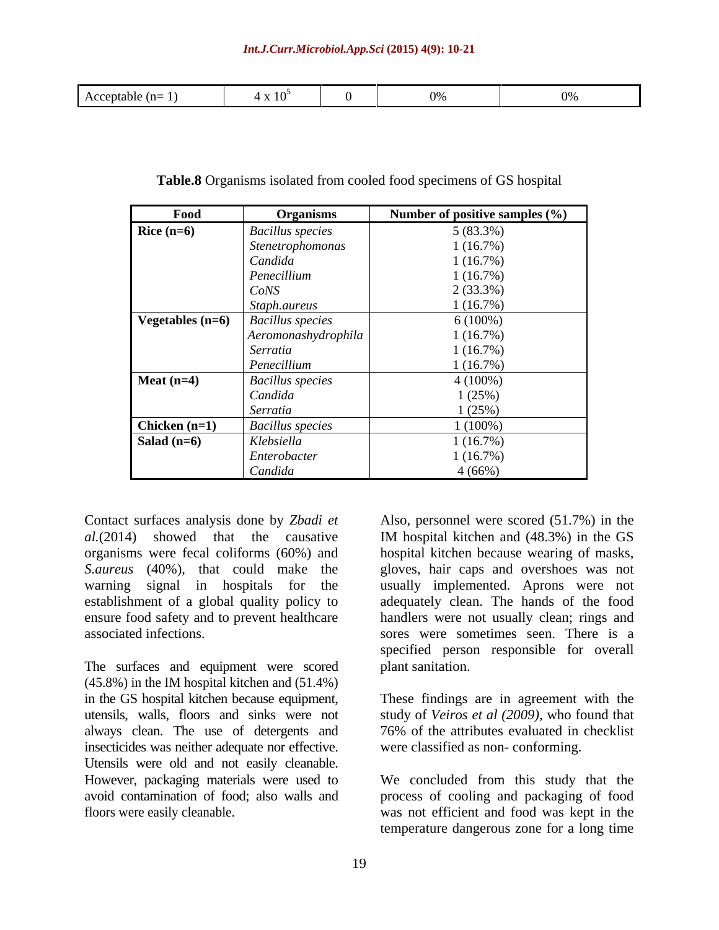|--|--|--|--|--|

| Food               | <b>Organisms</b>        | Number of positive samples $(\% )$ |
|--------------------|-------------------------|------------------------------------|
| Rice $(n=6)$       | <b>Bacillus</b> species | 5(83.3%)                           |
|                    | Stenetrophomonas        | 1(16.7%)                           |
|                    | Candida                 | 1(16.7%)                           |
|                    | Penecillium             | 1(16.7%)                           |
|                    | CoNS                    | 2(33.3%)                           |
|                    | Staph.aureus            | 1(16.7%)                           |
| Vegetables $(n=6)$ | <b>Bacillus</b> species | $6(100\%)$                         |
|                    | Aeromonashydrophila     | 1(16.7%)                           |
|                    | Serratia                | 1(16.7%)                           |
|                    | Penecillium             | 1(16.7%)                           |
| Meat $(n=4)$       | <b>Bacillus</b> species | $4(100\%)$                         |
|                    | Candida                 | 1(25%)                             |
|                    | Serratia                | 1(25%)                             |
| Chicken $(n=1)$    | <b>Bacillus</b> species | $1(100\%)$                         |
| Salad $(n=6)$      | Klebsiella              | 1(16.7%)                           |
|                    | Enterobacter            | 1(16.7%)                           |
|                    | Candida                 | 4(66%)                             |

**Table.8** Organisms isolated from cooled food specimens of GS hospital

establishment of a global quality policy to

The surfaces and equipment were scored (45.8%) in the IM hospital kitchen and (51.4%) in the GS hospital kitchen because equipment, These findings are in agreement with the utensils, walls, floors and sinks were not study of *Veiros et al (2009)*,who found that always clean. The use of detergents and 76% of the attributes evaluated in checklist insecticides was neither adequate nor effective. Utensils were old and not easily cleanable. However, packaging materials were used to We concluded from this study that the avoid contamination of food; also walls and process of cooling and packaging of food

Contact surfaces analysis done by *Zbadi et* Also, personnel were scored (51.7%) in the *al.*(2014) showed that the causative IM hospital kitchen and (48.3%) in the GS organisms were fecal coliforms (60%) and hospital kitchen because wearing of masks, *S.aureus* (40%), that could make the gloves, hair caps and overshoes was not warning signal in hospitals for the usually implemented. Aprons were not ensure food safety and to prevent healthcare handlers were not usually clean; rings and associated infections. sores were sometimes seen. There is a adequately clean. The hands of the food specified person responsible for overall plant sanitation.

were classified as non- conforming.

floors were easily cleanable. was not efficient and food was kept in the temperature dangerous zone for a long time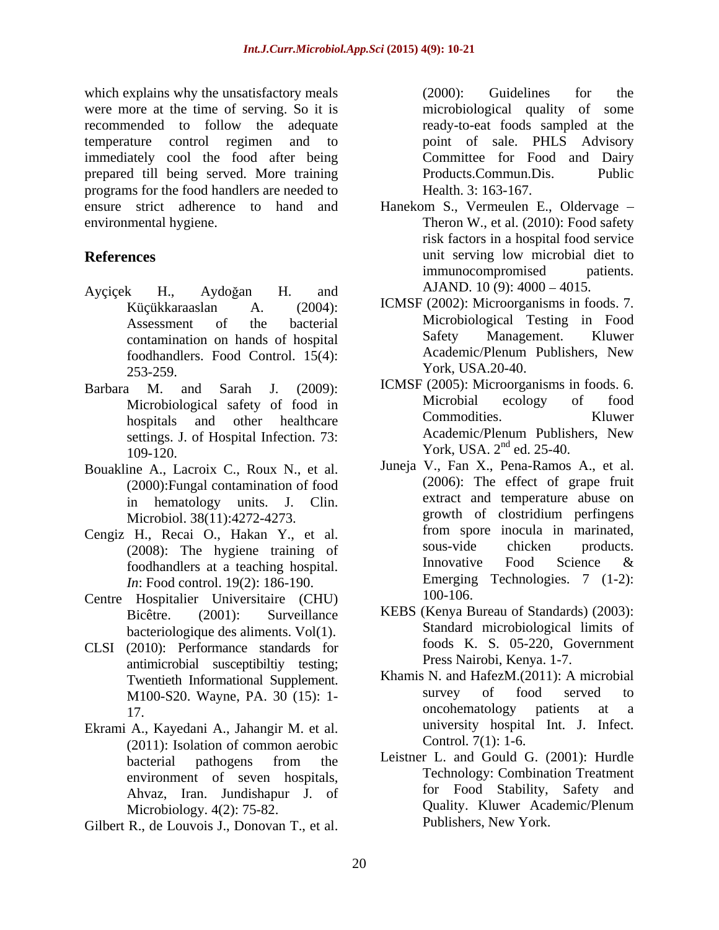which explains why the unsatisfactory meals (2000): Guidelines for the were more at the time of serving. So it is recommended to follow the adequate temperature control regimen and to immediately cool the food after being prepared till being served. More training programs for the food handlers are needed to ensure strict adherence to hand and Hanekom S., Vermeulen E., Oldervage environmental hygiene. Theron W., et al. (2010): Food safety

- Ayçiçek H., Aydoğan H. and AJAND. 10 (9): 4000 4015. foodhandlers. Food Control. 15(4): 253-259. **Y** ork, USA.20-40.
- settings. J. of Hospital Infection. 73: York, USA.  $2<sup>nd</sup>$  ed. 25-40.
- Bouakline A., Lacroix C., Roux N., et al. (2000):Fungal contamination of food
- Cengiz H., Recai O., Hakan Y., et al. The training of sous-vide chicken products. foodhandlers at a teaching hospital. *In*: Food control. 19(2): 186-190. Emerging<br> **Hospitalier** Universitaire (CHU) 100-106.
- Centre Hospitalier Universitaire (CHU) bacteriologique des aliments. Vol(1).
- CLSI (2010): Performance standards for antimicrobial susceptibiltiy testing;
- Ekrami A., Kayedani A., Jahangir M. et al. (2011): Isolation of common aerobic environment of seven hospitals, Microbiology. 4(2): 75-82.
- Gilbert R., de Louvois J., Donovan T., et al.

(2000): Guidelines for the microbiological quality of some ready-to-eat foods sampled at the point of sale. PHLS Advisory Committee for Food and Dairy Products.Commun.Dis. Public Health. 3: 163-167.

- **References** unit serving low microbial diet to risk factors in a hospital food service immunocompromised patients. AJAND.  $10(9)$ :  $4000 - 4015$ .
	- Küçükkaraaslan A. (2004): ICMSF (2002): Microorganisms in foods. 7. Assessment of the bacterial Microbiological Testing in Food contamination on hands of hospital Safety Management. Kluwer<br>
	foodbandlers Food Control 15(4) Academic/Plenum Publishers. New Safety Management. Kluwer Academic/Plenum Publishers, New York, USA.20-40.
- Barbara M. and Sarah J. (2009): ICMSF (2005): Microorganisms in foods. 6. Microbiological safety of food in Microbial ecology of food<br>hospitals and other healthcare Commodities. Kluwer hospitals and other healthcare Commodities. Kluwer<br>settings I of Hospital Infection 73. Academic/Plenum Publishers, New Microbial ecology of food Commodities. Kluwer Academic/Plenum Publishers, New
	- in hematology units. J. Clin. extract and temperature abuse on<br>Microbiol 38(11):4272-4273 spowth of clostridium perfingens Microbiol. 38(11):4272-4273. growth of clostridium perfingens<br>
	H Becai O Hakan Y et al from spore inocula in marinated. (2008): The hygiene training of sous-vide chicken products.<br>
	foodbandlers at a teaching bosnital Innovative Food Science & Juneja V., Fan X., Pena-Ramos A., et al. (2006): The effect of grape fruit extract and temperature abuse on growth of clostridium perfingens from spore inocula in marinated, sous-vide chicken products. Innovative Food Science & Emerging Technologies. 7 (1-2): 100-106.
	- Bicêtre. (2001): Surveillance KEBS (Kenya Bureau of Standards) (2003): Standard microbiological limits of foods K. S. 05-220, Government Press Nairobi, Kenya. 1-7.
	- Twentieth Informational Supplement. Khamis N. and HafezM. (2011): A microbial<br>M100-820 Wayne PA 30 (15): 1-<br>Survey of food served to M100-S20. Wayne, PA. 30 (15): 1-<br>17 b 1000 mcohematology patients at a 17. oncohematology patients at a Khamis N. and HafezM.(2011): A microbial survey of food served to university hospital Int. J. Infect. Control*.* 7(1): 1-6.
	- bacterial pathogens from the Leistner L. and Gould G. (2001): Hurdle Ahvaz, Iran. Jundishapur J. of the food Stability, Safety and Microbiology  $A(2)$ : 75-82 Leistner L. and Gould G. (2001): Hurdle Technology: Combination Treatment for Food Stability, Safety and Quality. Kluwer Academic/Plenum Publishers, New York.